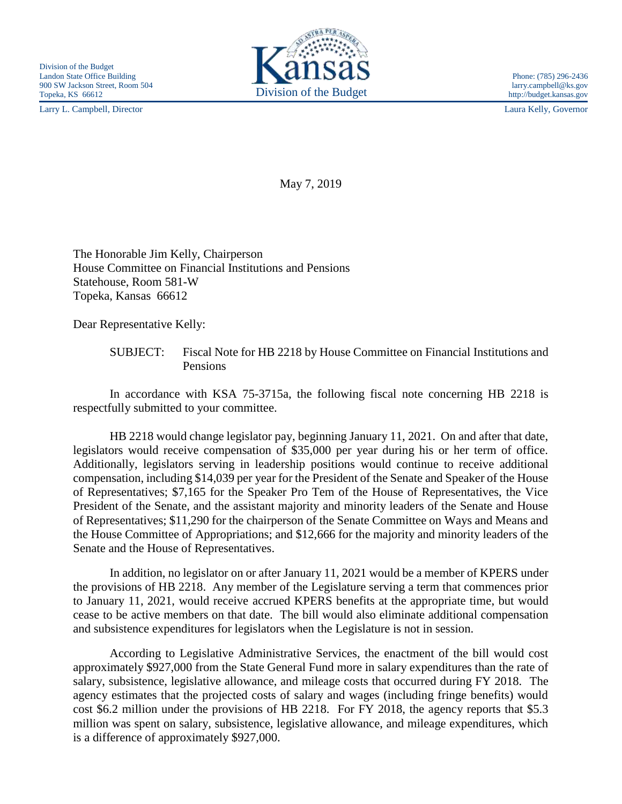Larry L. Campbell, Director Laura Kelly, Governor



http://budget.kansas.gov

May 7, 2019

The Honorable Jim Kelly, Chairperson House Committee on Financial Institutions and Pensions Statehouse, Room 581-W Topeka, Kansas 66612

Dear Representative Kelly:

SUBJECT: Fiscal Note for HB 2218 by House Committee on Financial Institutions and Pensions

In accordance with KSA 75-3715a, the following fiscal note concerning HB 2218 is respectfully submitted to your committee.

HB 2218 would change legislator pay, beginning January 11, 2021. On and after that date, legislators would receive compensation of \$35,000 per year during his or her term of office. Additionally, legislators serving in leadership positions would continue to receive additional compensation, including \$14,039 per year for the President of the Senate and Speaker of the House of Representatives; \$7,165 for the Speaker Pro Tem of the House of Representatives, the Vice President of the Senate, and the assistant majority and minority leaders of the Senate and House of Representatives; \$11,290 for the chairperson of the Senate Committee on Ways and Means and the House Committee of Appropriations; and \$12,666 for the majority and minority leaders of the Senate and the House of Representatives.

In addition, no legislator on or after January 11, 2021 would be a member of KPERS under the provisions of HB 2218. Any member of the Legislature serving a term that commences prior to January 11, 2021, would receive accrued KPERS benefits at the appropriate time, but would cease to be active members on that date. The bill would also eliminate additional compensation and subsistence expenditures for legislators when the Legislature is not in session.

According to Legislative Administrative Services, the enactment of the bill would cost approximately \$927,000 from the State General Fund more in salary expenditures than the rate of salary, subsistence, legislative allowance, and mileage costs that occurred during FY 2018. The agency estimates that the projected costs of salary and wages (including fringe benefits) would cost \$6.2 million under the provisions of HB 2218. For FY 2018, the agency reports that \$5.3 million was spent on salary, subsistence, legislative allowance, and mileage expenditures, which is a difference of approximately \$927,000.